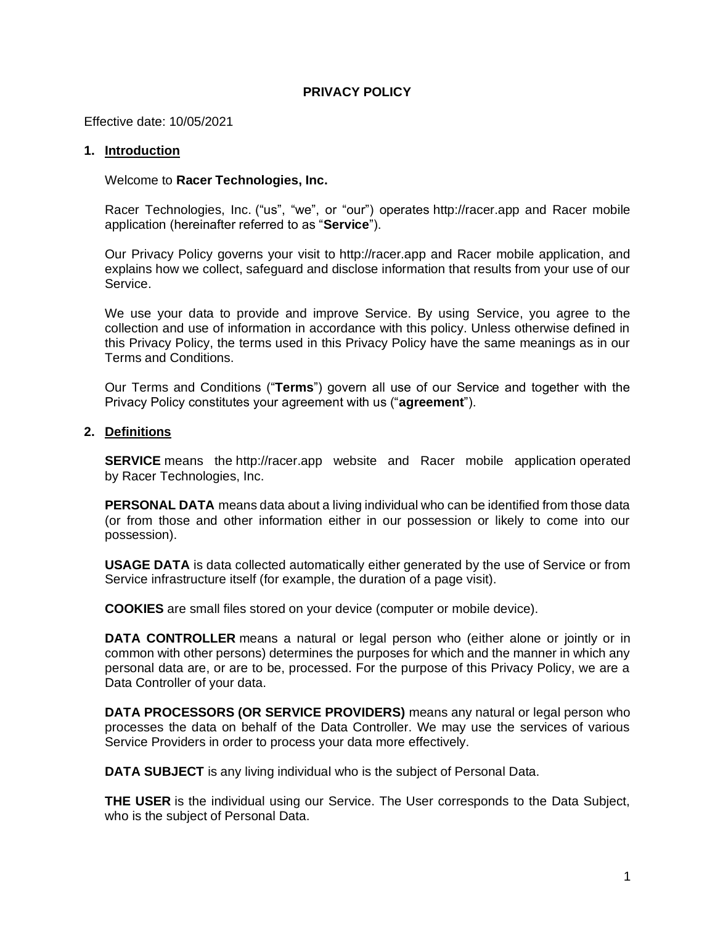### **PRIVACY POLICY**

Effective date: 10/05/2021

#### **1. Introduction**

#### Welcome to **Racer Technologies, Inc.**

Racer Technologies, Inc. ("us", "we", or "our") operates http://racer.app and Racer mobile application (hereinafter referred to as "**Service**").

Our Privacy Policy governs your visit to http://racer.app and Racer mobile application, and explains how we collect, safeguard and disclose information that results from your use of our Service.

We use your data to provide and improve Service. By using Service, you agree to the collection and use of information in accordance with this policy. Unless otherwise defined in this Privacy Policy, the terms used in this Privacy Policy have the same meanings as in our Terms and Conditions.

Our Terms and Conditions ("**Terms**") govern all use of our Service and together with the Privacy Policy constitutes your agreement with us ("**agreement**").

#### **2. Definitions**

**SERVICE** means the http://racer.app website and Racer mobile application operated by Racer Technologies, Inc.

**PERSONAL DATA** means data about a living individual who can be identified from those data (or from those and other information either in our possession or likely to come into our possession).

**USAGE DATA** is data collected automatically either generated by the use of Service or from Service infrastructure itself (for example, the duration of a page visit).

**COOKIES** are small files stored on your device (computer or mobile device).

**DATA CONTROLLER** means a natural or legal person who (either alone or jointly or in common with other persons) determines the purposes for which and the manner in which any personal data are, or are to be, processed. For the purpose of this Privacy Policy, we are a Data Controller of your data.

**DATA PROCESSORS (OR SERVICE PROVIDERS)** means any natural or legal person who processes the data on behalf of the Data Controller. We may use the services of various Service Providers in order to process your data more effectively.

**DATA SUBJECT** is any living individual who is the subject of Personal Data.

**THE USER** is the individual using our Service. The User corresponds to the Data Subject, who is the subject of Personal Data.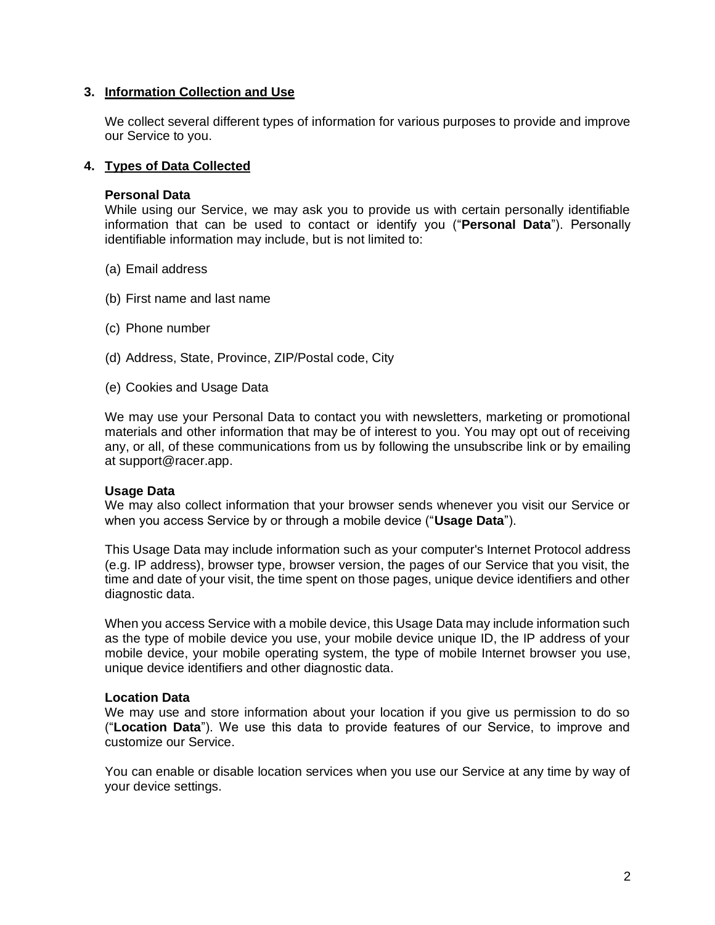### **3. Information Collection and Use**

We collect several different types of information for various purposes to provide and improve our Service to you.

### **4. Types of Data Collected**

### **Personal Data**

While using our Service, we may ask you to provide us with certain personally identifiable information that can be used to contact or identify you ("**Personal Data**"). Personally identifiable information may include, but is not limited to:

- (a) Email address
- (b) First name and last name
- (c) Phone number
- (d) Address, State, Province, ZIP/Postal code, City
- (e) Cookies and Usage Data

We may use your Personal Data to contact you with newsletters, marketing or promotional materials and other information that may be of interest to you. You may opt out of receiving any, or all, of these communications from us by following the unsubscribe link or by emailing at support@racer.app.

### **Usage Data**

We may also collect information that your browser sends whenever you visit our Service or when you access Service by or through a mobile device ("**Usage Data**").

This Usage Data may include information such as your computer's Internet Protocol address (e.g. IP address), browser type, browser version, the pages of our Service that you visit, the time and date of your visit, the time spent on those pages, unique device identifiers and other diagnostic data.

When you access Service with a mobile device, this Usage Data may include information such as the type of mobile device you use, your mobile device unique ID, the IP address of your mobile device, your mobile operating system, the type of mobile Internet browser you use, unique device identifiers and other diagnostic data.

#### **Location Data**

We may use and store information about your location if you give us permission to do so ("**Location Data**"). We use this data to provide features of our Service, to improve and customize our Service.

You can enable or disable location services when you use our Service at any time by way of your device settings.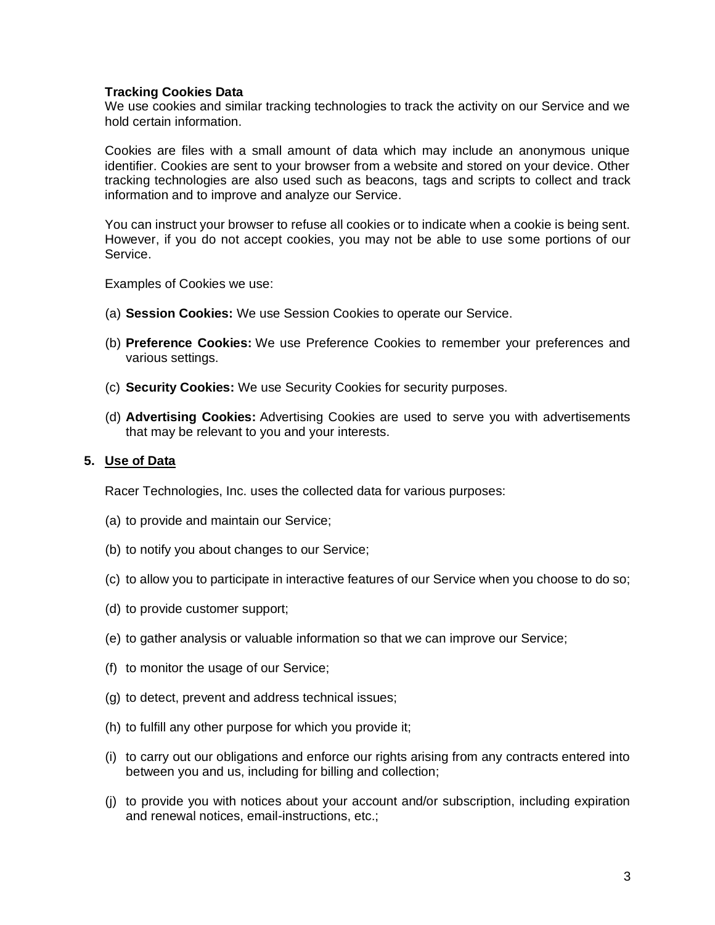## **Tracking Cookies Data**

We use cookies and similar tracking technologies to track the activity on our Service and we hold certain information.

Cookies are files with a small amount of data which may include an anonymous unique identifier. Cookies are sent to your browser from a website and stored on your device. Other tracking technologies are also used such as beacons, tags and scripts to collect and track information and to improve and analyze our Service.

You can instruct your browser to refuse all cookies or to indicate when a cookie is being sent. However, if you do not accept cookies, you may not be able to use some portions of our Service.

Examples of Cookies we use:

- (a) **Session Cookies:** We use Session Cookies to operate our Service.
- (b) **Preference Cookies:** We use Preference Cookies to remember your preferences and various settings.
- (c) **Security Cookies:** We use Security Cookies for security purposes.
- (d) **Advertising Cookies:** Advertising Cookies are used to serve you with advertisements that may be relevant to you and your interests.

### **5. Use of Data**

Racer Technologies, Inc. uses the collected data for various purposes:

- (a) to provide and maintain our Service;
- (b) to notify you about changes to our Service;
- (c) to allow you to participate in interactive features of our Service when you choose to do so;
- (d) to provide customer support;
- (e) to gather analysis or valuable information so that we can improve our Service;
- (f) to monitor the usage of our Service;
- (g) to detect, prevent and address technical issues;
- (h) to fulfill any other purpose for which you provide it;
- (i) to carry out our obligations and enforce our rights arising from any contracts entered into between you and us, including for billing and collection;
- (j) to provide you with notices about your account and/or subscription, including expiration and renewal notices, email-instructions, etc.;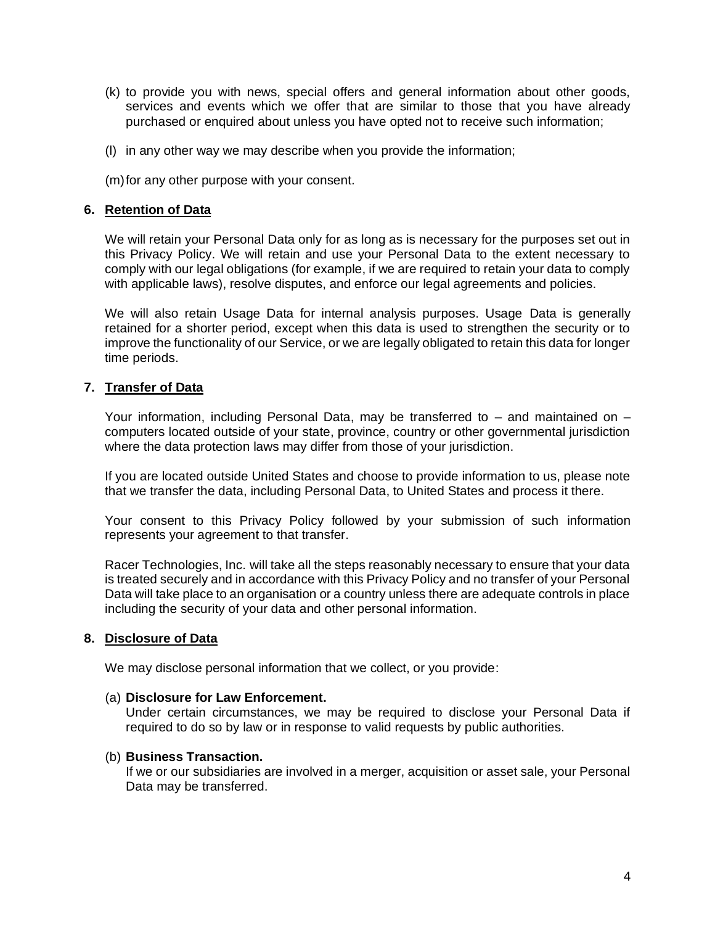- (k) to provide you with news, special offers and general information about other goods, services and events which we offer that are similar to those that you have already purchased or enquired about unless you have opted not to receive such information;
- (l) in any other way we may describe when you provide the information;
- (m)for any other purpose with your consent.

### **6. Retention of Data**

We will retain your Personal Data only for as long as is necessary for the purposes set out in this Privacy Policy. We will retain and use your Personal Data to the extent necessary to comply with our legal obligations (for example, if we are required to retain your data to comply with applicable laws), resolve disputes, and enforce our legal agreements and policies.

We will also retain Usage Data for internal analysis purposes. Usage Data is generally retained for a shorter period, except when this data is used to strengthen the security or to improve the functionality of our Service, or we are legally obligated to retain this data for longer time periods.

### **7. Transfer of Data**

Your information, including Personal Data, may be transferred to  $-$  and maintained on  $$ computers located outside of your state, province, country or other governmental jurisdiction where the data protection laws may differ from those of your jurisdiction.

If you are located outside United States and choose to provide information to us, please note that we transfer the data, including Personal Data, to United States and process it there.

Your consent to this Privacy Policy followed by your submission of such information represents your agreement to that transfer.

Racer Technologies, Inc. will take all the steps reasonably necessary to ensure that your data is treated securely and in accordance with this Privacy Policy and no transfer of your Personal Data will take place to an organisation or a country unless there are adequate controls in place including the security of your data and other personal information.

### **8. Disclosure of Data**

We may disclose personal information that we collect, or you provide:

### (a) **Disclosure for Law Enforcement.**

Under certain circumstances, we may be required to disclose your Personal Data if required to do so by law or in response to valid requests by public authorities.

### (b) **Business Transaction.**

If we or our subsidiaries are involved in a merger, acquisition or asset sale, your Personal Data may be transferred.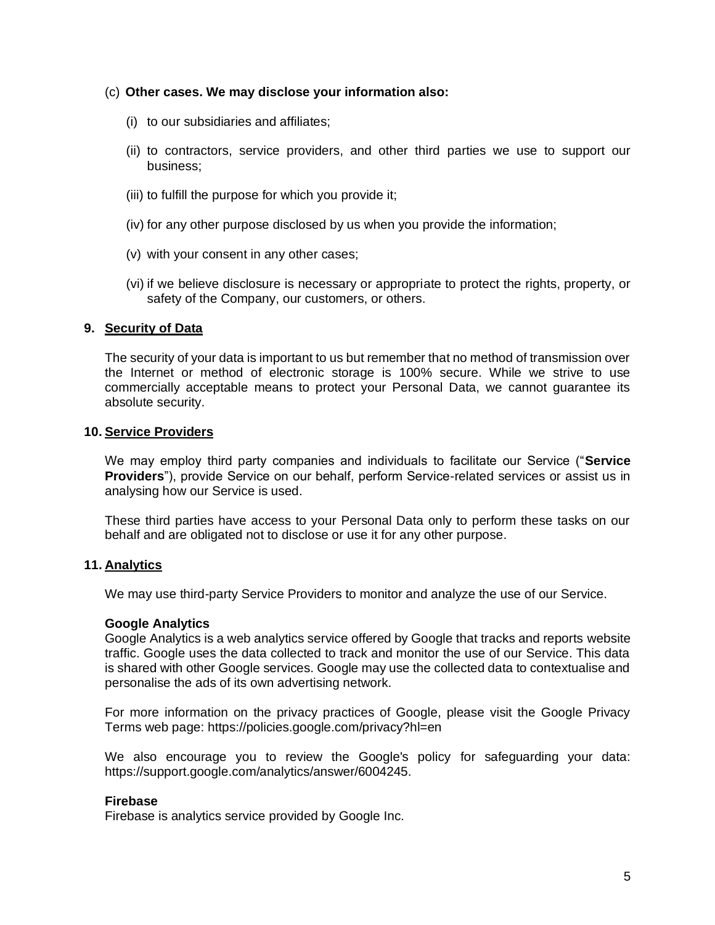- (c) **Other cases. We may disclose your information also:**
	- (i) to our subsidiaries and affiliates;
	- (ii) to contractors, service providers, and other third parties we use to support our business;
	- (iii) to fulfill the purpose for which you provide it;
	- (iv) for any other purpose disclosed by us when you provide the information;
	- (v) with your consent in any other cases;
	- (vi) if we believe disclosure is necessary or appropriate to protect the rights, property, or safety of the Company, our customers, or others.

## **9. Security of Data**

The security of your data is important to us but remember that no method of transmission over the Internet or method of electronic storage is 100% secure. While we strive to use commercially acceptable means to protect your Personal Data, we cannot guarantee its absolute security.

### **10. Service Providers**

We may employ third party companies and individuals to facilitate our Service ("**Service Providers**"), provide Service on our behalf, perform Service-related services or assist us in analysing how our Service is used.

These third parties have access to your Personal Data only to perform these tasks on our behalf and are obligated not to disclose or use it for any other purpose.

## **11. Analytics**

We may use third-party Service Providers to monitor and analyze the use of our Service.

## **Google Analytics**

Google Analytics is a web analytics service offered by Google that tracks and reports website traffic. Google uses the data collected to track and monitor the use of our Service. This data is shared with other Google services. Google may use the collected data to contextualise and personalise the ads of its own advertising network.

For more information on the privacy practices of Google, please visit the Google Privacy Terms web page: https://policies.google.com/privacy?hl=en

We also encourage you to review the Google's policy for safeguarding your data: https://support.google.com/analytics/answer/6004245.

## **Firebase**

Firebase is analytics service provided by Google Inc.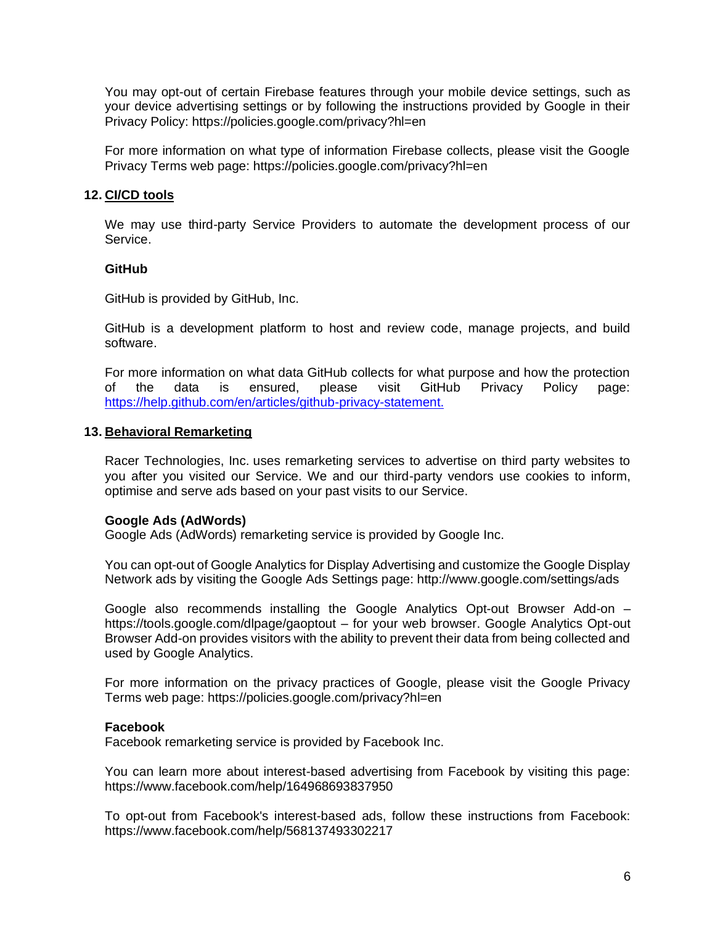You may opt-out of certain Firebase features through your mobile device settings, such as your device advertising settings or by following the instructions provided by Google in their Privacy Policy: https://policies.google.com/privacy?hl=en

For more information on what type of information Firebase collects, please visit the Google Privacy Terms web page: https://policies.google.com/privacy?hl=en

### **12. CI/CD tools**

We may use third-party Service Providers to automate the development process of our Service.

### **GitHub**

GitHub is provided by GitHub, Inc.

GitHub is a development platform to host and review code, manage projects, and build software.

For more information on what data GitHub collects for what purpose and how the protection of the data is ensured, please visit GitHub Privacy Policy page: [https://help.github.com/en/articles/github-privacy-statement.](https://help.github.com/en/articles/github-privacy-statement)

### **13. Behavioral Remarketing**

Racer Technologies, Inc. uses remarketing services to advertise on third party websites to you after you visited our Service. We and our third-party vendors use cookies to inform, optimise and serve ads based on your past visits to our Service.

## **Google Ads (AdWords)**

Google Ads (AdWords) remarketing service is provided by Google Inc.

You can opt-out of Google Analytics for Display Advertising and customize the Google Display Network ads by visiting the Google Ads Settings page: http://www.google.com/settings/ads

Google also recommends installing the Google Analytics Opt-out Browser Add-on – https://tools.google.com/dlpage/gaoptout – for your web browser. Google Analytics Opt-out Browser Add-on provides visitors with the ability to prevent their data from being collected and used by Google Analytics.

For more information on the privacy practices of Google, please visit the Google Privacy Terms web page: https://policies.google.com/privacy?hl=en

### **Facebook**

Facebook remarketing service is provided by Facebook Inc.

You can learn more about interest-based advertising from Facebook by visiting this page: https://www.facebook.com/help/164968693837950

To opt-out from Facebook's interest-based ads, follow these instructions from Facebook: https://www.facebook.com/help/568137493302217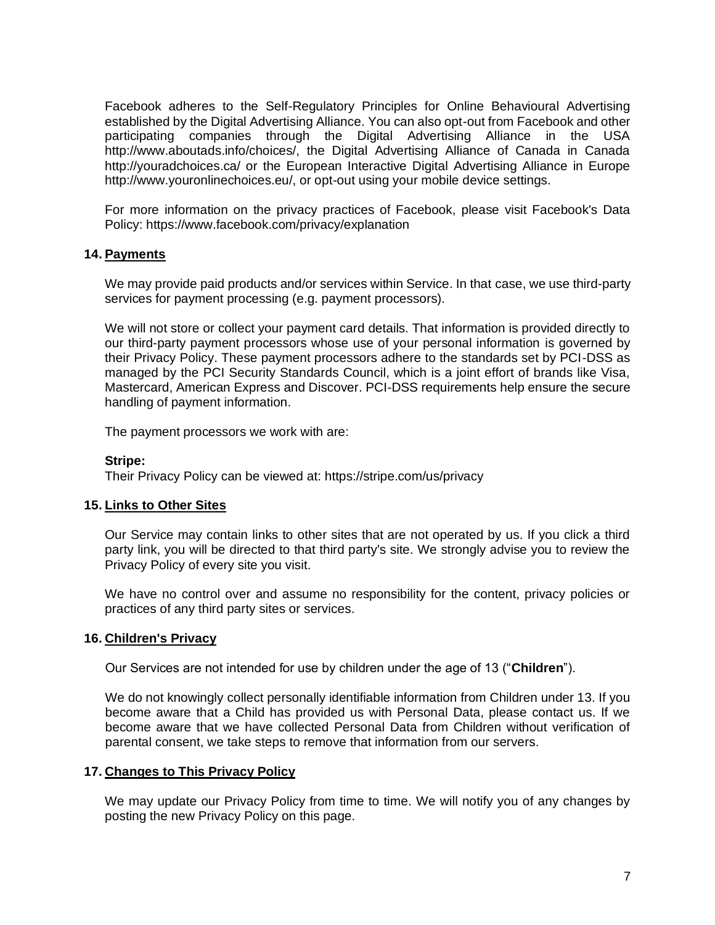Facebook adheres to the Self-Regulatory Principles for Online Behavioural Advertising established by the Digital Advertising Alliance. You can also opt-out from Facebook and other participating companies through the Digital Advertising Alliance in the USA http://www.aboutads.info/choices/, the Digital Advertising Alliance of Canada in Canada http://youradchoices.ca/ or the European Interactive Digital Advertising Alliance in Europe http://www.youronlinechoices.eu/, or opt-out using your mobile device settings.

For more information on the privacy practices of Facebook, please visit Facebook's Data Policy: https://www.facebook.com/privacy/explanation

## **14. Payments**

We may provide paid products and/or services within Service. In that case, we use third-party services for payment processing (e.g. payment processors).

We will not store or collect your payment card details. That information is provided directly to our third-party payment processors whose use of your personal information is governed by their Privacy Policy. These payment processors adhere to the standards set by PCI-DSS as managed by the PCI Security Standards Council, which is a joint effort of brands like Visa, Mastercard, American Express and Discover. PCI-DSS requirements help ensure the secure handling of payment information.

The payment processors we work with are:

#### **Stripe:**

Their Privacy Policy can be viewed at: https://stripe.com/us/privacy

### **15. Links to Other Sites**

Our Service may contain links to other sites that are not operated by us. If you click a third party link, you will be directed to that third party's site. We strongly advise you to review the Privacy Policy of every site you visit.

We have no control over and assume no responsibility for the content, privacy policies or practices of any third party sites or services.

### **16. Children's Privacy**

Our Services are not intended for use by children under the age of 13 ("**Children**").

We do not knowingly collect personally identifiable information from Children under 13. If you become aware that a Child has provided us with Personal Data, please contact us. If we become aware that we have collected Personal Data from Children without verification of parental consent, we take steps to remove that information from our servers.

### **17. Changes to This Privacy Policy**

We may update our Privacy Policy from time to time. We will notify you of any changes by posting the new Privacy Policy on this page.